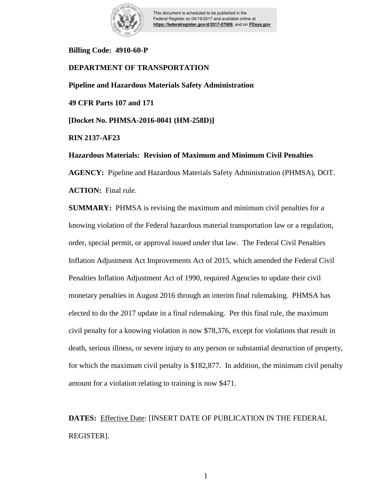

This document is scheduled to be published in the Federal Register on 04/19/2017 and available online at **https://federalregister.gov/d/2017-07908**, and on **FDsys.gov**

# **Billing Code: 4910-60-P**

# **DEPARTMENT OF TRANSPORTATION**

**Pipeline and Hazardous Materials Safety Administration**

**49 CFR Parts 107 and 171**

**[Docket No. PHMSA-2016-0041 (HM-258D)]**

**RIN 2137-AF23**

**Hazardous Materials: Revision of Maximum and Minimum Civil Penalties** 

**AGENCY:** Pipeline and Hazardous Materials Safety Administration (PHMSA), DOT. **ACTION:** Final rule.

**SUMMARY:** PHMSA is revising the maximum and minimum civil penalties for a knowing violation of the Federal hazardous material transportation law or a regulation, order, special permit, or approval issued under that law. The Federal Civil Penalties Inflation Adjustment Act Improvements Act of 2015, which amended the Federal Civil Penalties Inflation Adjustment Act of 1990, required Agencies to update their civil monetary penalties in August 2016 through an interim final rulemaking. PHMSA has elected to do the 2017 update in a final rulemaking. Per this final rule, the maximum civil penalty for a knowing violation is now \$78,376, except for violations that result in death, serious illness, or severe injury to any person or substantial destruction of property, for which the maximum civil penalty is \$182,877. In addition, the minimum civil penalty amount for a violation relating to training is now \$471.

**DATES:** Effective Date: [INSERT DATE OF PUBLICATION IN THE FEDERAL REGISTER].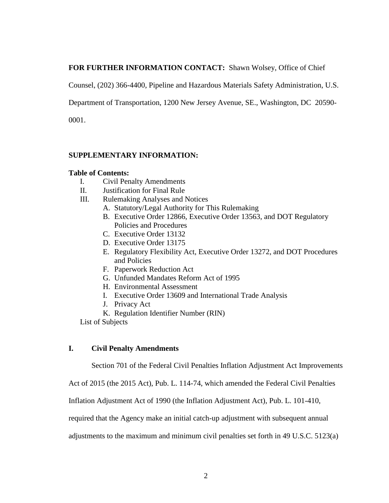# **FOR FURTHER INFORMATION CONTACT:** Shawn Wolsey, Office of Chief

Counsel, (202) 366-4400, Pipeline and Hazardous Materials Safety Administration, U.S.

Department of Transportation, 1200 New Jersey Avenue, SE., Washington, DC 20590-

0001.

# **SUPPLEMENTARY INFORMATION:**

## **Table of Contents:**

- I. Civil Penalty Amendments
- II. Justification for Final Rule
- III. Rulemaking Analyses and Notices
	- A. Statutory/Legal Authority for This Rulemaking
	- B. Executive Order 12866, Executive Order 13563, and DOT Regulatory Policies and Procedures
	- C. Executive Order 13132
	- D. Executive Order 13175
	- E. Regulatory Flexibility Act, Executive Order 13272, and DOT Procedures and Policies
	- F. Paperwork Reduction Act
	- G. Unfunded Mandates Reform Act of 1995
	- H. Environmental Assessment
	- I. Executive Order 13609 and International Trade Analysis
	- J. Privacy Act
	- K. Regulation Identifier Number (RIN)

List of Subjects

# **I. Civil Penalty Amendments**

Section 701 of the Federal Civil Penalties Inflation Adjustment Act Improvements

Act of 2015 (the 2015 Act), Pub. L. 114-74, which amended the Federal Civil Penalties

Inflation Adjustment Act of 1990 (the Inflation Adjustment Act), Pub. L. 101-410,

required that the Agency make an initial catch-up adjustment with subsequent annual

adjustments to the maximum and minimum civil penalties set forth in 49 U.S.C. 5123(a)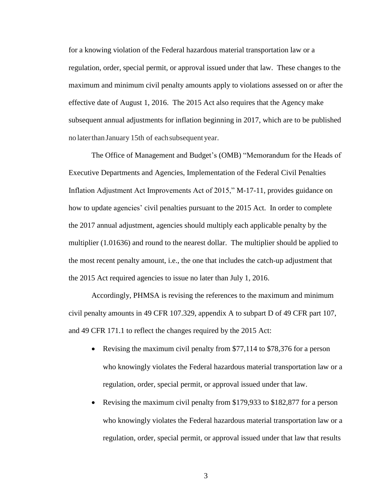for a knowing violation of the Federal hazardous material transportation law or a regulation, order, special permit, or approval issued under that law. These changes to the maximum and minimum civil penalty amounts apply to violations assessed on or after the effective date of August 1, 2016. The 2015 Act also requires that the Agency make subsequent annual adjustments for inflation beginning in 2017, which are to be published no laterthanJanuary 15th of eachsubsequent year.

The Office of Management and Budget's (OMB) "Memorandum for the Heads of Executive Departments and Agencies, Implementation of the Federal Civil Penalties Inflation Adjustment Act Improvements Act of 2015," M-17-11, provides guidance on how to update agencies' civil penalties pursuant to the 2015 Act. In order to complete the 2017 annual adjustment, agencies should multiply each applicable penalty by the multiplier (1.01636) and round to the nearest dollar. The multiplier should be applied to the most recent penalty amount, i.e., the one that includes the catch-up adjustment that the 2015 Act required agencies to issue no later than July 1, 2016.

Accordingly, PHMSA is revising the references to the maximum and minimum civil penalty amounts in 49 CFR 107.329, appendix A to subpart D of 49 CFR part 107, and 49 CFR 171.1 to reflect the changes required by the 2015 Act:

- Revising the maximum civil penalty from \$77,114 to \$78,376 for a person who knowingly violates the Federal hazardous material transportation law or a regulation, order, special permit, or approval issued under that law.
- Revising the maximum civil penalty from \$179,933 to \$182,877 for a person who knowingly violates the Federal hazardous material transportation law or a regulation, order, special permit, or approval issued under that law that results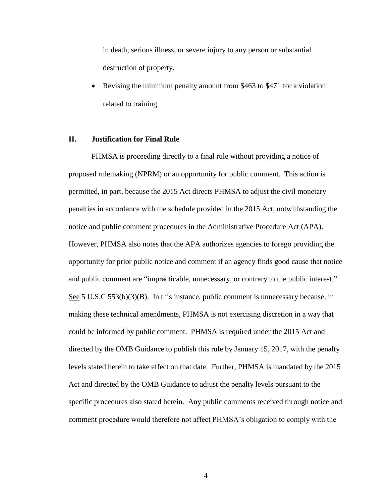in death, serious illness, or severe injury to any person or substantial destruction of property.

 Revising the minimum penalty amount from \$463 to \$471 for a violation related to training.

#### **II. Justification for Final Rule**

PHMSA is proceeding directly to a final rule without providing a notice of proposed rulemaking (NPRM) or an opportunity for public comment. This action is permitted, in part, because the 2015 Act directs PHMSA to adjust the civil monetary penalties in accordance with the schedule provided in the 2015 Act, notwithstanding the notice and public comment procedures in the Administrative Procedure Act (APA). However, PHMSA also notes that the APA authorizes agencies to forego providing the opportunity for prior public notice and comment if an agency finds good cause that notice and public comment are "impracticable, unnecessary, or contrary to the public interest." See 5 U.S.C 553(b)(3)(B). In this instance, public comment is unnecessary because, in making these technical amendments, PHMSA is not exercising discretion in a way that could be informed by public comment. PHMSA is required under the 2015 Act and directed by the OMB Guidance to publish this rule by January 15, 2017, with the penalty levels stated herein to take effect on that date. Further, PHMSA is mandated by the 2015 Act and directed by the OMB Guidance to adjust the penalty levels pursuant to the specific procedures also stated herein. Any public comments received through notice and comment procedure would therefore not affect PHMSA's obligation to comply with the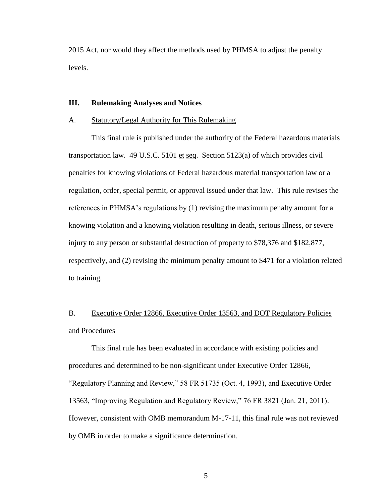2015 Act, nor would they affect the methods used by PHMSA to adjust the penalty levels.

## **III. Rulemaking Analyses and Notices**

### A. Statutory/Legal Authority for This Rulemaking

This final rule is published under the authority of the Federal hazardous materials transportation law. 49 U.S.C. 5101 et seq. Section 5123(a) of which provides civil penalties for knowing violations of Federal hazardous material transportation law or a regulation, order, special permit, or approval issued under that law. This rule revises the references in PHMSA's regulations by (1) revising the maximum penalty amount for a knowing violation and a knowing violation resulting in death, serious illness, or severe injury to any person or substantial destruction of property to \$78,376 and \$182,877, respectively, and (2) revising the minimum penalty amount to \$471 for a violation related to training.

# B. Executive Order 12866, Executive Order 13563, and DOT Regulatory Policies and Procedures

This final rule has been evaluated in accordance with existing policies and procedures and determined to be non-significant under Executive Order 12866, "Regulatory Planning and Review," 58 FR 51735 (Oct. 4, 1993), and Executive Order 13563, "Improving Regulation and Regulatory Review," 76 FR 3821 (Jan. 21, 2011). However, consistent with OMB memorandum M-17-11, this final rule was not reviewed by OMB in order to make a significance determination.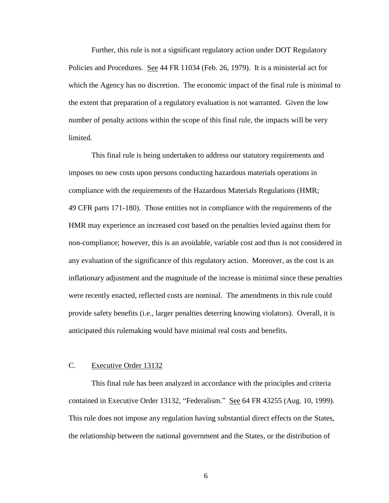Further, this rule is not a significant regulatory action under DOT Regulatory Policies and Procedures. See 44 FR 11034 (Feb. 26, 1979). It is a ministerial act for which the Agency has no discretion. The economic impact of the final rule is minimal to the extent that preparation of a regulatory evaluation is not warranted. Given the low number of penalty actions within the scope of this final rule, the impacts will be very limited.

This final rule is being undertaken to address our statutory requirements and imposes no new costs upon persons conducting hazardous materials operations in compliance with the requirements of the Hazardous Materials Regulations (HMR; 49 CFR parts 171-180). Those entities not in compliance with the requirements of the HMR may experience an increased cost based on the penalties levied against them for non-compliance; however, this is an avoidable, variable cost and thus is not considered in any evaluation of the significance of this regulatory action. Moreover, as the cost is an inflationary adjustment and the magnitude of the increase is minimal since these penalties were recently enacted, reflected costs are nominal. The amendments in this rule could provide safety benefits (i.e., larger penalties deterring knowing violators). Overall, it is anticipated this rulemaking would have minimal real costs and benefits.

## C. Executive Order 13132

This final rule has been analyzed in accordance with the principles and criteria contained in Executive Order 13132, "Federalism." See 64 FR 43255 (Aug. 10, 1999). This rule does not impose any regulation having substantial direct effects on the States, the relationship between the national government and the States, or the distribution of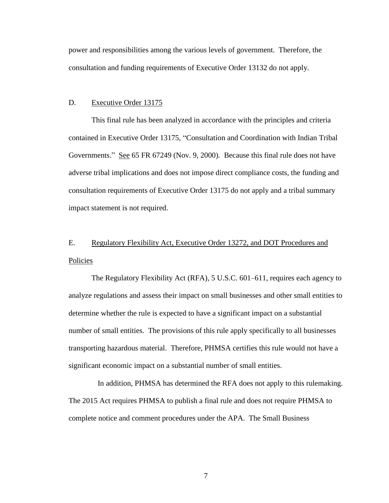power and responsibilities among the various levels of government. Therefore, the consultation and funding requirements of Executive Order 13132 do not apply.

### D. Executive Order 13175

This final rule has been analyzed in accordance with the principles and criteria contained in Executive Order 13175, "Consultation and Coordination with Indian Tribal Governments." See 65 FR 67249 (Nov. 9, 2000). Because this final rule does not have adverse tribal implications and does not impose direct compliance costs, the funding and consultation requirements of Executive Order 13175 do not apply and a tribal summary impact statement is not required.

# E. Regulatory Flexibility Act, Executive Order 13272, and DOT Procedures and Policies

The Regulatory Flexibility Act (RFA), 5 U.S.C. 601–611, requires each agency to analyze regulations and assess their impact on small businesses and other small entities to determine whether the rule is expected to have a significant impact on a substantial number of small entities. The provisions of this rule apply specifically to all businesses transporting hazardous material. Therefore, PHMSA certifies this rule would not have a significant economic impact on a substantial number of small entities.

In addition, PHMSA has determined the RFA does not apply to this rulemaking. The 2015 Act requires PHMSA to publish a final rule and does not require PHMSA to complete notice and comment procedures under the APA. The Small Business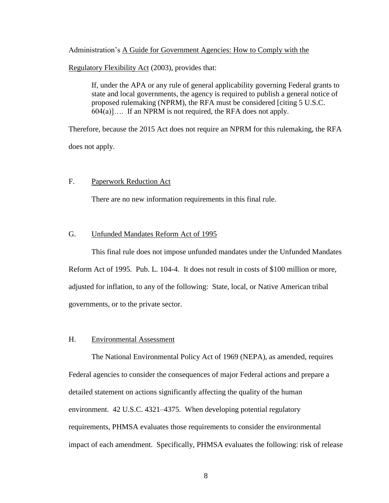Administration's A Guide for Government Agencies: How to Comply with the

Regulatory Flexibility Act (2003), provides that:

If, under the APA or any rule of general applicability governing Federal grants to state and local governments, the agency is required to publish a general notice of proposed rulemaking (NPRM), the RFA must be considered [citing 5 U.S.C.  $604(a)$ ... If an NPRM is not required, the RFA does not apply.

Therefore, because the 2015 Act does not require an NPRM for this rulemaking, the RFA does not apply.

## F. Paperwork Reduction Act

There are no new information requirements in this final rule.

# G. Unfunded Mandates Reform Act of 1995

This final rule does not impose unfunded mandates under the Unfunded Mandates Reform Act of 1995. Pub. L. 104-4. It does not result in costs of \$100 million or more, adjusted for inflation, to any of the following: State, local, or Native American tribal governments, or to the private sector.

## H. Environmental Assessment

The National Environmental Policy Act of 1969 (NEPA), as amended, requires Federal agencies to consider the consequences of major Federal actions and prepare a detailed statement on actions significantly affecting the quality of the human environment. 42 U.S.C. 4321–4375. When developing potential regulatory requirements, PHMSA evaluates those requirements to consider the environmental impact of each amendment. Specifically, PHMSA evaluates the following: risk of release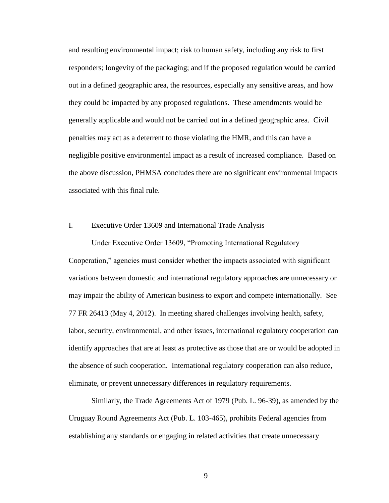and resulting environmental impact; risk to human safety, including any risk to first responders; longevity of the packaging; and if the proposed regulation would be carried out in a defined geographic area, the resources, especially any sensitive areas, and how they could be impacted by any proposed regulations. These amendments would be generally applicable and would not be carried out in a defined geographic area. Civil penalties may act as a deterrent to those violating the HMR, and this can have a negligible positive environmental impact as a result of increased compliance. Based on the above discussion, PHMSA concludes there are no significant environmental impacts associated with this final rule.

## I. Executive Order 13609 and International Trade Analysis

Under Executive Order 13609, "Promoting International Regulatory Cooperation," agencies must consider whether the impacts associated with significant variations between domestic and international regulatory approaches are unnecessary or may impair the ability of American business to export and compete internationally. See 77 FR 26413 (May 4, 2012). In meeting shared challenges involving health, safety, labor, security, environmental, and other issues, international regulatory cooperation can identify approaches that are at least as protective as those that are or would be adopted in the absence of such cooperation. International regulatory cooperation can also reduce, eliminate, or prevent unnecessary differences in regulatory requirements.

Similarly, the Trade Agreements Act of 1979 (Pub. L. 96-39), as amended by the Uruguay Round Agreements Act (Pub. L. 103-465), prohibits Federal agencies from establishing any standards or engaging in related activities that create unnecessary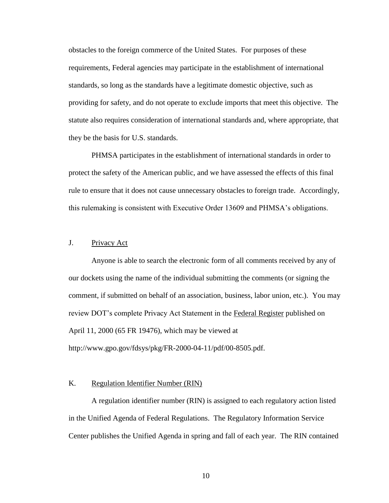obstacles to the foreign commerce of the United States. For purposes of these requirements, Federal agencies may participate in the establishment of international standards, so long as the standards have a legitimate domestic objective, such as providing for safety, and do not operate to exclude imports that meet this objective. The statute also requires consideration of international standards and, where appropriate, that they be the basis for U.S. standards.

PHMSA participates in the establishment of international standards in order to protect the safety of the American public, and we have assessed the effects of this final rule to ensure that it does not cause unnecessary obstacles to foreign trade. Accordingly, this rulemaking is consistent with Executive Order 13609 and PHMSA's obligations.

# J. Privacy Act

Anyone is able to search the electronic form of all comments received by any of our dockets using the name of the individual submitting the comments (or signing the comment, if submitted on behalf of an association, business, labor union, etc.). You may review DOT's complete Privacy Act Statement in the Federal Register published on April 11, 2000 (65 FR 19476), which may be viewed at http://www.gpo.gov/fdsys/pkg/FR-2000-04-11/pdf/00-8505.pdf.

### K. Regulation Identifier Number (RIN)

A regulation identifier number (RIN) is assigned to each regulatory action listed in the Unified Agenda of Federal Regulations. The Regulatory Information Service Center publishes the Unified Agenda in spring and fall of each year. The RIN contained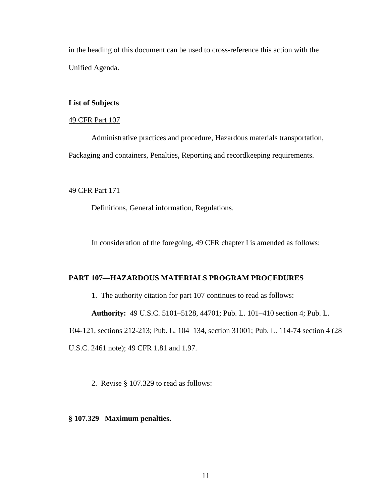in the heading of this document can be used to cross-reference this action with the Unified Agenda.

## **List of Subjects**

## 49 CFR Part 107

Administrative practices and procedure, Hazardous materials transportation, Packaging and containers, Penalties, Reporting and recordkeeping requirements.

## 49 CFR Part 171

Definitions, General information, Regulations.

In consideration of the foregoing, 49 CFR chapter I is amended as follows:

## **PART 107—HAZARDOUS MATERIALS PROGRAM PROCEDURES**

1. The authority citation for part 107 continues to read as follows:

**Authority:** 49 U.S.C. 5101–5128, 44701; Pub. L. 101–410 section 4; Pub. L.

104-121, sections 212-213; Pub. L. 104–134, section 31001; Pub. L. 114-74 section 4 (28

U.S.C. 2461 note); 49 CFR 1.81 and 1.97.

2. Revise § 107.329 to read as follows:

## **§ 107.329 Maximum penalties.**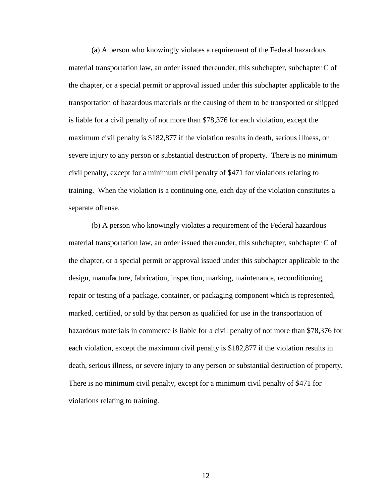(a) A person who knowingly violates a requirement of the Federal hazardous material transportation law, an order issued thereunder, this subchapter, subchapter C of the chapter, or a special permit or approval issued under this subchapter applicable to the transportation of hazardous materials or the causing of them to be transported or shipped is liable for a civil penalty of not more than \$78,376 for each violation, except the maximum civil penalty is \$182,877 if the violation results in death, serious illness, or severe injury to any person or substantial destruction of property. There is no minimum civil penalty, except for a minimum civil penalty of \$471 for violations relating to training. When the violation is a continuing one, each day of the violation constitutes a separate offense.

(b) A person who knowingly violates a requirement of the Federal hazardous material transportation law, an order issued thereunder, this subchapter, subchapter C of the chapter, or a special permit or approval issued under this subchapter applicable to the design, manufacture, fabrication, inspection, marking, maintenance, reconditioning, repair or testing of a package, container, or packaging component which is represented, marked, certified, or sold by that person as qualified for use in the transportation of hazardous materials in commerce is liable for a civil penalty of not more than \$78,376 for each violation, except the maximum civil penalty is \$182,877 if the violation results in death, serious illness, or severe injury to any person or substantial destruction of property. There is no minimum civil penalty, except for a minimum civil penalty of \$471 for violations relating to training.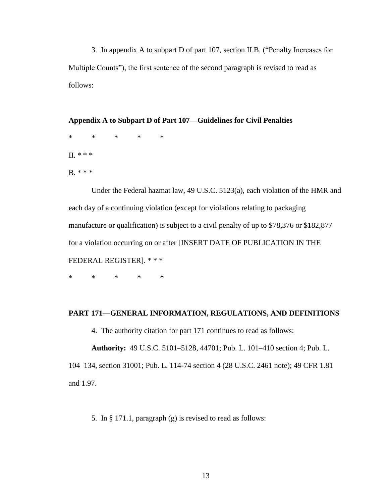3. In appendix A to subpart D of part 107, section II.B. ("Penalty Increases for Multiple Counts"), the first sentence of the second paragraph is revised to read as follows:

**Appendix A to Subpart D of Part 107—Guidelines for Civil Penalties** \* \* \* \* \*  $II. * * *$ B. \* \* \*

Under the Federal hazmat law, 49 U.S.C. 5123(a), each violation of the HMR and each day of a continuing violation (except for violations relating to packaging manufacture or qualification) is subject to a civil penalty of up to \$78,376 or \$182,877 for a violation occurring on or after [INSERT DATE OF PUBLICATION IN THE FEDERAL REGISTER]. \* \* \*

\* \* \* \* \*

### **PART 171—GENERAL INFORMATION, REGULATIONS, AND DEFINITIONS**

4. The authority citation for part 171 continues to read as follows:

**Authority:** 49 U.S.C. 5101–5128, 44701; Pub. L. 101–410 section 4; Pub. L.

104–134, section 31001; Pub. L. 114-74 section 4 (28 U.S.C. 2461 note); 49 CFR 1.81 and 1.97.

5. In § 171.1, paragraph (g) is revised to read as follows: